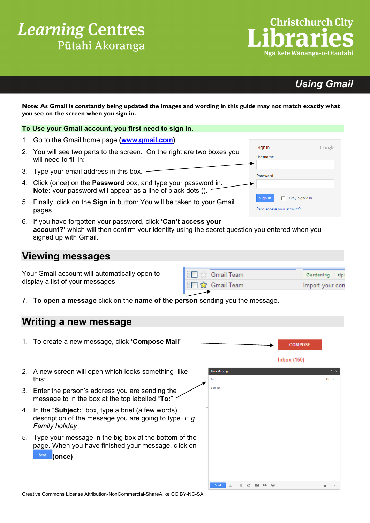# **Learning Centres** Pūtahi Akoranga

# *Using Gmail*

Google

**Note: As Gmail is constantly being updated the images and wording in this guide may not match exactly what you see on the screen when you sign in.** 

#### **To Use your Gmail account, you first need to sign in.**

- 1. Go to the Gmail home page **[\(www.gmail.com\)](http://gmail.com/)**
- 2. You will see two parts to the screen. On the right are two boxes you will need to fill in:
- 3. Type your email address in this box.
- 4. Click (once) on the **Password** box, and type your password in. **Note:** your password will appear as a line of black dots ().
- 5. Finally, click on the **Sign in** button: You will be taken to your Gmail pages.
- 6. If you have forgotten your password, click **'Can't access your account?'** which will then confirm your identity using the secret question you entered when you signed up with Gmail.

### **Viewing messages**

Your Gmail account will automatically open to display a list of your messages

| $\Box \otimes$ Gmail Team | Gardening tips  |  |
|---------------------------|-----------------|--|
| <b>I</b> : □ ☆ Gmail Team | Import your con |  |
|                           |                 |  |

Sign in

Username

Password

Sign in

Can't access your account?

Stay signed in

7. **To open a message** click on the **name of the person** sending you the message.

#### **Writing a new message**

| 1. To create a new message, click 'Compose Mail'                                                                                          |                                                                                                                                                                                                                                                                                                                                                                                                                                                                                                                  | <b>COMPOSE</b>     |        |
|-------------------------------------------------------------------------------------------------------------------------------------------|------------------------------------------------------------------------------------------------------------------------------------------------------------------------------------------------------------------------------------------------------------------------------------------------------------------------------------------------------------------------------------------------------------------------------------------------------------------------------------------------------------------|--------------------|--------|
|                                                                                                                                           |                                                                                                                                                                                                                                                                                                                                                                                                                                                                                                                  | <b>Inbox (160)</b> |        |
| 2. A new screen will open which looks something like<br>this:                                                                             | <b>New Message</b><br>To                                                                                                                                                                                                                                                                                                                                                                                                                                                                                         |                    | Cc Bcc |
| 3. Enter the person's address you are sending the<br>message to in the box at the top labelled "To:"                                      | Subject                                                                                                                                                                                                                                                                                                                                                                                                                                                                                                          |                    |        |
| 4. In the " <b>Subject:</b> " box, type a brief (a few words)<br>description of the message you are going to type. E.g.<br>Family holiday |                                                                                                                                                                                                                                                                                                                                                                                                                                                                                                                  |                    |        |
| 5. Type your message in the big box at the bottom of the<br>page. When you have finished your message, click on<br>Send<br>(once)         |                                                                                                                                                                                                                                                                                                                                                                                                                                                                                                                  |                    |        |
|                                                                                                                                           | $Send \qquad A \qquad \qquad \begin{array}{c} \begin{array}{c} \end{array} \begin{array}{c} \end{array}$ $\qquad \qquad \begin{array}{ccc} \end{array}$ $\qquad \qquad \begin{array}{ccc} \end{array}$ $\qquad \qquad \begin{array}{ccc} \end{array}$ $\qquad \qquad \begin{array}{ccc} \end{array}$ $\qquad \qquad \begin{array}{ccc} \end{array}$ $\qquad \qquad \begin{array}{ccc} \end{array}$ $\qquad \qquad \begin{array}{ccc} \end{array}$ $\qquad \qquad \begin{array}{ccc} \end{array}$ $\qquad \qquad$ |                    | ≘ →    |